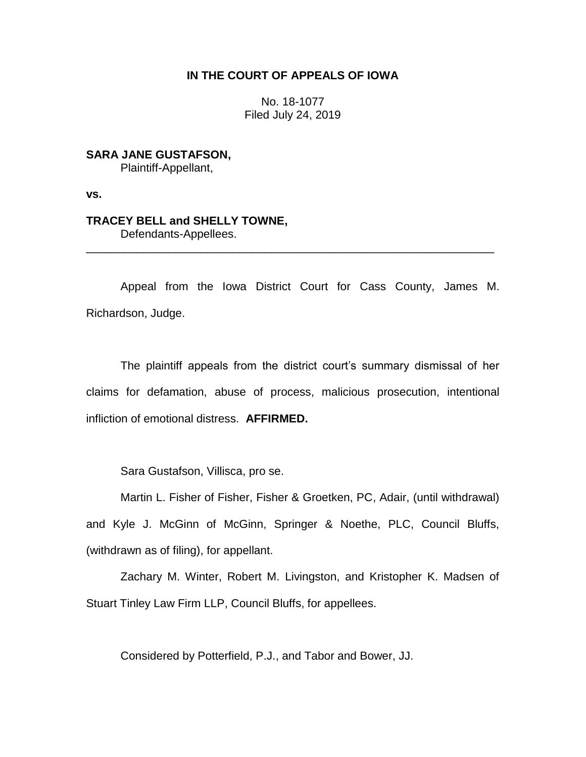## **IN THE COURT OF APPEALS OF IOWA**

No. 18-1077 Filed July 24, 2019

**SARA JANE GUSTAFSON,** Plaintiff-Appellant,

**vs.**

# **TRACEY BELL and SHELLY TOWNE,**

Defendants-Appellees.

Appeal from the Iowa District Court for Cass County, James M. Richardson, Judge.

\_\_\_\_\_\_\_\_\_\_\_\_\_\_\_\_\_\_\_\_\_\_\_\_\_\_\_\_\_\_\_\_\_\_\_\_\_\_\_\_\_\_\_\_\_\_\_\_\_\_\_\_\_\_\_\_\_\_\_\_\_\_\_\_

The plaintiff appeals from the district court's summary dismissal of her claims for defamation, abuse of process, malicious prosecution, intentional infliction of emotional distress. **AFFIRMED.**

Sara Gustafson, Villisca, pro se.

Martin L. Fisher of Fisher, Fisher & Groetken, PC, Adair, (until withdrawal) and Kyle J. McGinn of McGinn, Springer & Noethe, PLC, Council Bluffs, (withdrawn as of filing), for appellant.

Zachary M. Winter, Robert M. Livingston, and Kristopher K. Madsen of Stuart Tinley Law Firm LLP, Council Bluffs, for appellees.

Considered by Potterfield, P.J., and Tabor and Bower, JJ.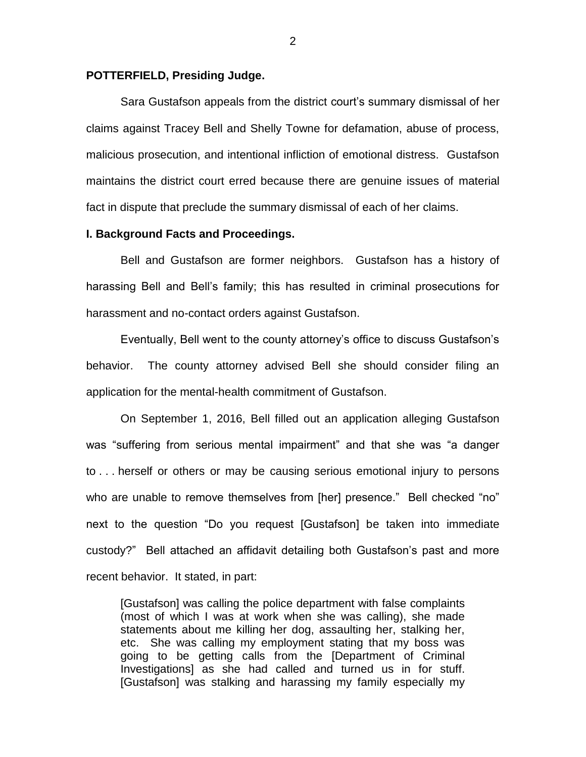## **POTTERFIELD, Presiding Judge.**

Sara Gustafson appeals from the district court's summary dismissal of her claims against Tracey Bell and Shelly Towne for defamation, abuse of process, malicious prosecution, and intentional infliction of emotional distress. Gustafson maintains the district court erred because there are genuine issues of material fact in dispute that preclude the summary dismissal of each of her claims.

## **I. Background Facts and Proceedings.**

Bell and Gustafson are former neighbors. Gustafson has a history of harassing Bell and Bell's family; this has resulted in criminal prosecutions for harassment and no-contact orders against Gustafson.

Eventually, Bell went to the county attorney's office to discuss Gustafson's behavior. The county attorney advised Bell she should consider filing an application for the mental-health commitment of Gustafson.

On September 1, 2016, Bell filled out an application alleging Gustafson was "suffering from serious mental impairment" and that she was "a danger to . . . herself or others or may be causing serious emotional injury to persons who are unable to remove themselves from [her] presence." Bell checked "no" next to the question "Do you request [Gustafson] be taken into immediate custody?" Bell attached an affidavit detailing both Gustafson's past and more recent behavior. It stated, in part:

[Gustafson] was calling the police department with false complaints (most of which I was at work when she was calling), she made statements about me killing her dog, assaulting her, stalking her, etc. She was calling my employment stating that my boss was going to be getting calls from the [Department of Criminal Investigations] as she had called and turned us in for stuff. [Gustafson] was stalking and harassing my family especially my

2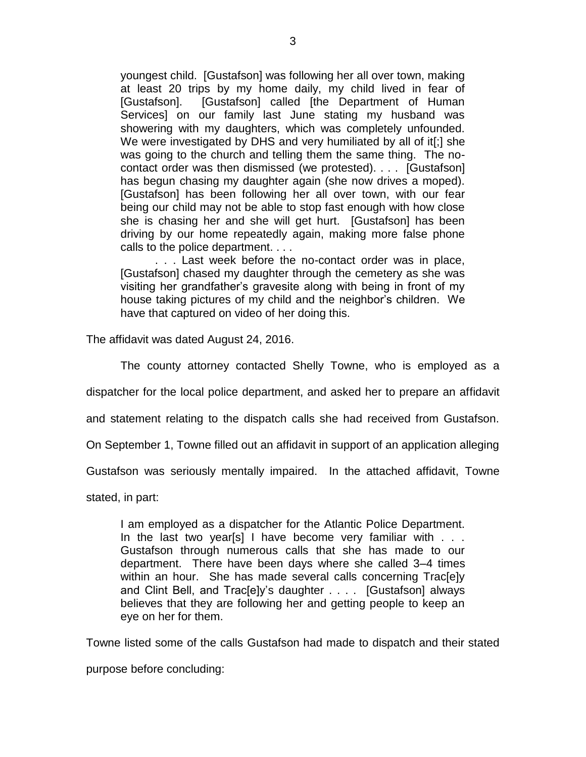youngest child. [Gustafson] was following her all over town, making at least 20 trips by my home daily, my child lived in fear of [Gustafson]. [Gustafson] called [the Department of Human] Services] on our family last June stating my husband was showering with my daughters, which was completely unfounded. We were investigated by DHS and very humiliated by all of it[;] she was going to the church and telling them the same thing. The nocontact order was then dismissed (we protested). . . . [Gustafson] has begun chasing my daughter again (she now drives a moped). [Gustafson] has been following her all over town, with our fear being our child may not be able to stop fast enough with how close she is chasing her and she will get hurt. [Gustafson] has been driving by our home repeatedly again, making more false phone calls to the police department. . . .

. . . Last week before the no-contact order was in place, [Gustafson] chased my daughter through the cemetery as she was visiting her grandfather's gravesite along with being in front of my house taking pictures of my child and the neighbor's children. We have that captured on video of her doing this.

The affidavit was dated August 24, 2016.

The county attorney contacted Shelly Towne, who is employed as a

dispatcher for the local police department, and asked her to prepare an affidavit

and statement relating to the dispatch calls she had received from Gustafson.

On September 1, Towne filled out an affidavit in support of an application alleging

Gustafson was seriously mentally impaired. In the attached affidavit, Towne

stated, in part:

I am employed as a dispatcher for the Atlantic Police Department. In the last two year[s] I have become very familiar with . . . Gustafson through numerous calls that she has made to our department. There have been days where she called 3–4 times within an hour. She has made several calls concerning Trac[e]y and Clint Bell, and Trac[e]y's daughter . . . . [Gustafson] always believes that they are following her and getting people to keep an eye on her for them.

Towne listed some of the calls Gustafson had made to dispatch and their stated

purpose before concluding: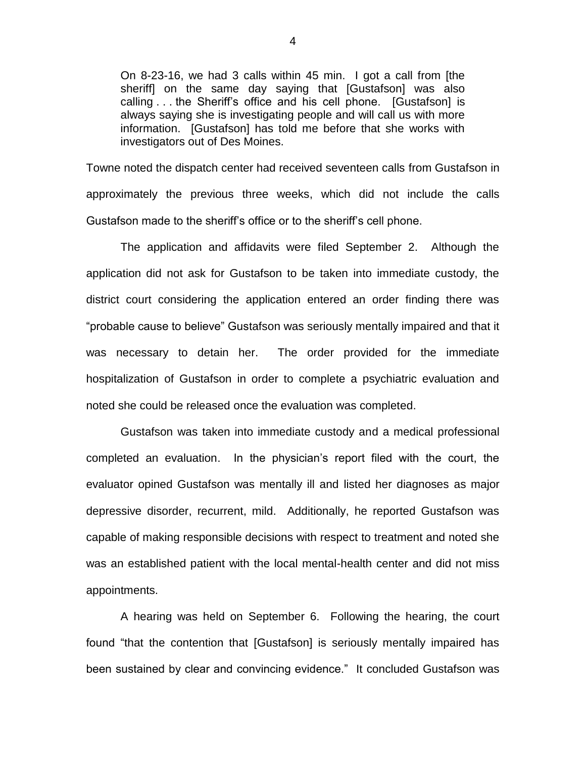On 8-23-16, we had 3 calls within 45 min. I got a call from [the sheriff] on the same day saying that [Gustafson] was also calling . . . the Sheriff's office and his cell phone. [Gustafson] is always saying she is investigating people and will call us with more information. [Gustafson] has told me before that she works with investigators out of Des Moines.

Towne noted the dispatch center had received seventeen calls from Gustafson in approximately the previous three weeks, which did not include the calls Gustafson made to the sheriff's office or to the sheriff's cell phone.

The application and affidavits were filed September 2. Although the application did not ask for Gustafson to be taken into immediate custody, the district court considering the application entered an order finding there was "probable cause to believe" Gustafson was seriously mentally impaired and that it was necessary to detain her. The order provided for the immediate hospitalization of Gustafson in order to complete a psychiatric evaluation and noted she could be released once the evaluation was completed.

Gustafson was taken into immediate custody and a medical professional completed an evaluation. In the physician's report filed with the court, the evaluator opined Gustafson was mentally ill and listed her diagnoses as major depressive disorder, recurrent, mild. Additionally, he reported Gustafson was capable of making responsible decisions with respect to treatment and noted she was an established patient with the local mental-health center and did not miss appointments.

A hearing was held on September 6. Following the hearing, the court found "that the contention that [Gustafson] is seriously mentally impaired has been sustained by clear and convincing evidence." It concluded Gustafson was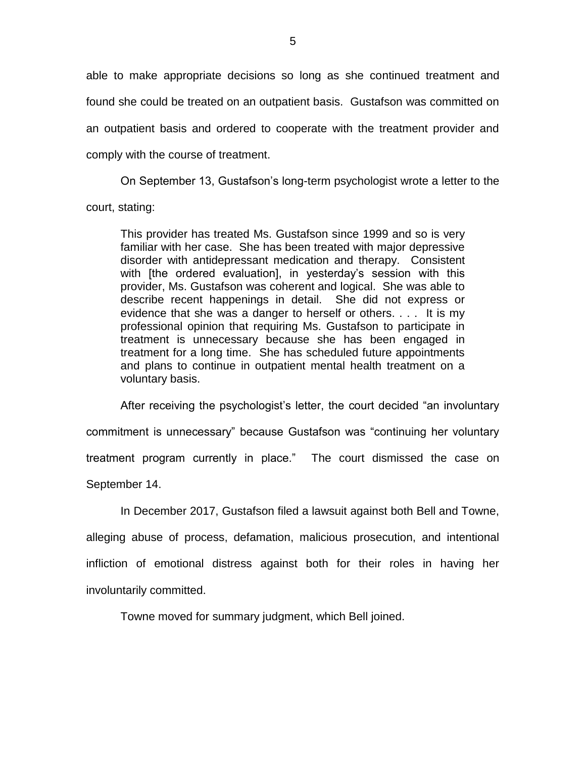able to make appropriate decisions so long as she continued treatment and found she could be treated on an outpatient basis. Gustafson was committed on an outpatient basis and ordered to cooperate with the treatment provider and comply with the course of treatment.

On September 13, Gustafson's long-term psychologist wrote a letter to the court, stating:

This provider has treated Ms. Gustafson since 1999 and so is very familiar with her case. She has been treated with major depressive disorder with antidepressant medication and therapy. Consistent with [the ordered evaluation], in yesterday's session with this provider, Ms. Gustafson was coherent and logical. She was able to describe recent happenings in detail. She did not express or evidence that she was a danger to herself or others. . . . It is my professional opinion that requiring Ms. Gustafson to participate in treatment is unnecessary because she has been engaged in treatment for a long time. She has scheduled future appointments and plans to continue in outpatient mental health treatment on a voluntary basis.

After receiving the psychologist's letter, the court decided "an involuntary commitment is unnecessary" because Gustafson was "continuing her voluntary treatment program currently in place." The court dismissed the case on September 14.

In December 2017, Gustafson filed a lawsuit against both Bell and Towne, alleging abuse of process, defamation, malicious prosecution, and intentional infliction of emotional distress against both for their roles in having her involuntarily committed.

Towne moved for summary judgment, which Bell joined.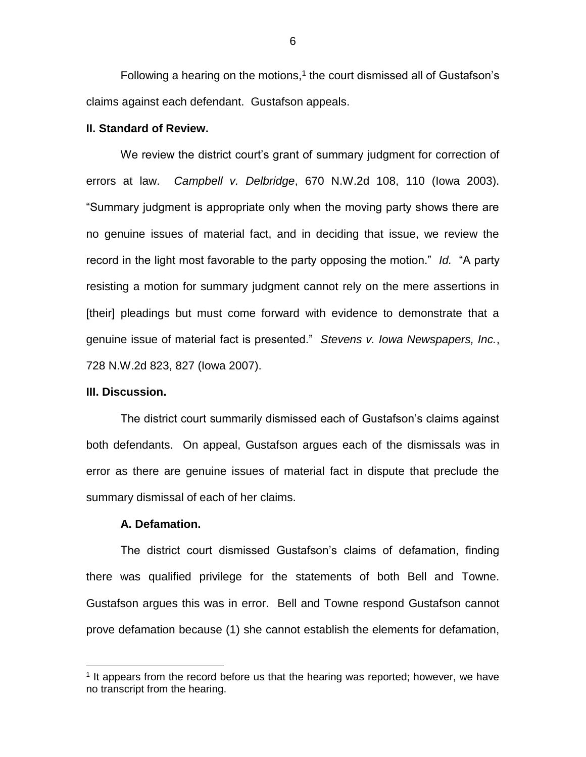Following a hearing on the motions, $1$  the court dismissed all of Gustafson's claims against each defendant. Gustafson appeals.

## **II. Standard of Review.**

We review the district court's grant of summary judgment for correction of errors at law. *Campbell v. Delbridge*, 670 N.W.2d 108, 110 (Iowa 2003). "Summary judgment is appropriate only when the moving party shows there are no genuine issues of material fact, and in deciding that issue, we review the record in the light most favorable to the party opposing the motion." *Id.* "A party resisting a motion for summary judgment cannot rely on the mere assertions in [their] pleadings but must come forward with evidence to demonstrate that a genuine issue of material fact is presented." *Stevens v. Iowa Newspapers, Inc.*, 728 N.W.2d 823, 827 (Iowa 2007).

## **III. Discussion.**

 $\overline{a}$ 

The district court summarily dismissed each of Gustafson's claims against both defendants. On appeal, Gustafson argues each of the dismissals was in error as there are genuine issues of material fact in dispute that preclude the summary dismissal of each of her claims.

#### **A. Defamation.**

The district court dismissed Gustafson's claims of defamation, finding there was qualified privilege for the statements of both Bell and Towne. Gustafson argues this was in error. Bell and Towne respond Gustafson cannot prove defamation because (1) she cannot establish the elements for defamation,

<sup>&</sup>lt;sup>1</sup> It appears from the record before us that the hearing was reported; however, we have no transcript from the hearing.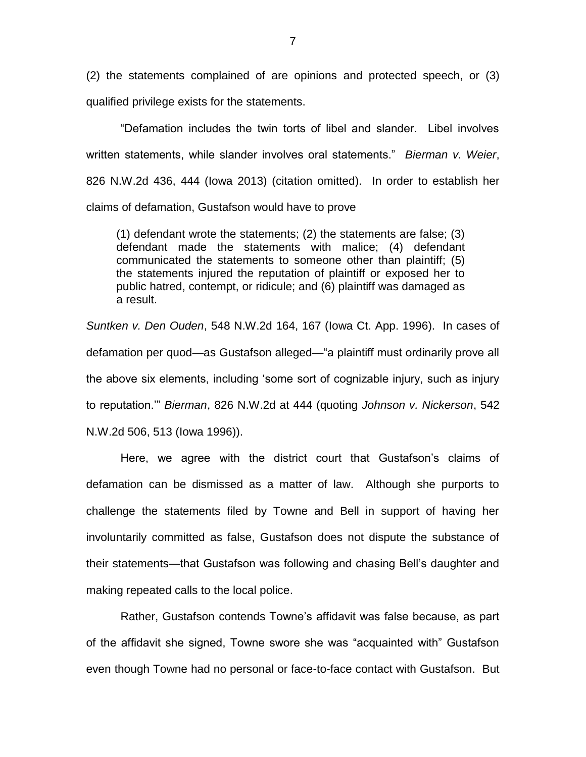(2) the statements complained of are opinions and protected speech, or (3) qualified privilege exists for the statements.

"Defamation includes the twin torts of libel and slander. Libel involves written statements, while slander involves oral statements." *Bierman v. Weier*, 826 N.W.2d 436, 444 (Iowa 2013) (citation omitted). In order to establish her claims of defamation, Gustafson would have to prove

(1) defendant wrote the statements; (2) the statements are false; (3) defendant made the statements with malice; (4) defendant communicated the statements to someone other than plaintiff; (5) the statements injured the reputation of plaintiff or exposed her to public hatred, contempt, or ridicule; and (6) plaintiff was damaged as a result.

*Suntken v. Den Ouden*, 548 N.W.2d 164, 167 (Iowa Ct. App. 1996). In cases of defamation per quod—as Gustafson alleged—"a plaintiff must ordinarily prove all the above six elements, including 'some sort of cognizable injury, such as injury to reputation.'" *Bierman*, 826 N.W.2d at 444 (quoting *Johnson v. Nickerson*, 542 N.W.2d 506, 513 (Iowa 1996)).

Here, we agree with the district court that Gustafson's claims of defamation can be dismissed as a matter of law. Although she purports to challenge the statements filed by Towne and Bell in support of having her involuntarily committed as false, Gustafson does not dispute the substance of their statements—that Gustafson was following and chasing Bell's daughter and making repeated calls to the local police.

Rather, Gustafson contends Towne's affidavit was false because, as part of the affidavit she signed, Towne swore she was "acquainted with" Gustafson even though Towne had no personal or face-to-face contact with Gustafson. But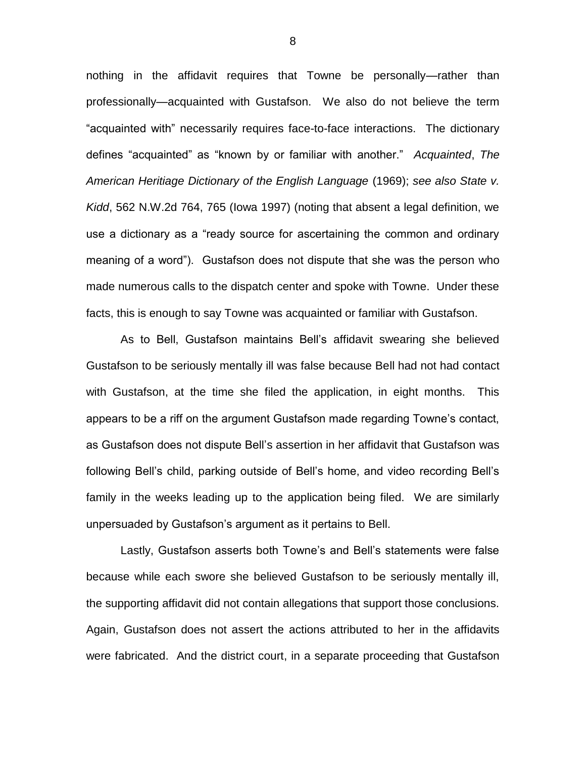nothing in the affidavit requires that Towne be personally—rather than professionally—acquainted with Gustafson. We also do not believe the term "acquainted with" necessarily requires face-to-face interactions. The dictionary defines "acquainted" as "known by or familiar with another." *Acquainted*, *The American Heritiage Dictionary of the English Language* (1969); *see also State v. Kidd*, 562 N.W.2d 764, 765 (Iowa 1997) (noting that absent a legal definition, we use a dictionary as a "ready source for ascertaining the common and ordinary meaning of a word"). Gustafson does not dispute that she was the person who made numerous calls to the dispatch center and spoke with Towne. Under these facts, this is enough to say Towne was acquainted or familiar with Gustafson.

As to Bell, Gustafson maintains Bell's affidavit swearing she believed Gustafson to be seriously mentally ill was false because Bell had not had contact with Gustafson, at the time she filed the application, in eight months. This appears to be a riff on the argument Gustafson made regarding Towne's contact, as Gustafson does not dispute Bell's assertion in her affidavit that Gustafson was following Bell's child, parking outside of Bell's home, and video recording Bell's family in the weeks leading up to the application being filed. We are similarly unpersuaded by Gustafson's argument as it pertains to Bell.

Lastly, Gustafson asserts both Towne's and Bell's statements were false because while each swore she believed Gustafson to be seriously mentally ill, the supporting affidavit did not contain allegations that support those conclusions. Again, Gustafson does not assert the actions attributed to her in the affidavits were fabricated. And the district court, in a separate proceeding that Gustafson

8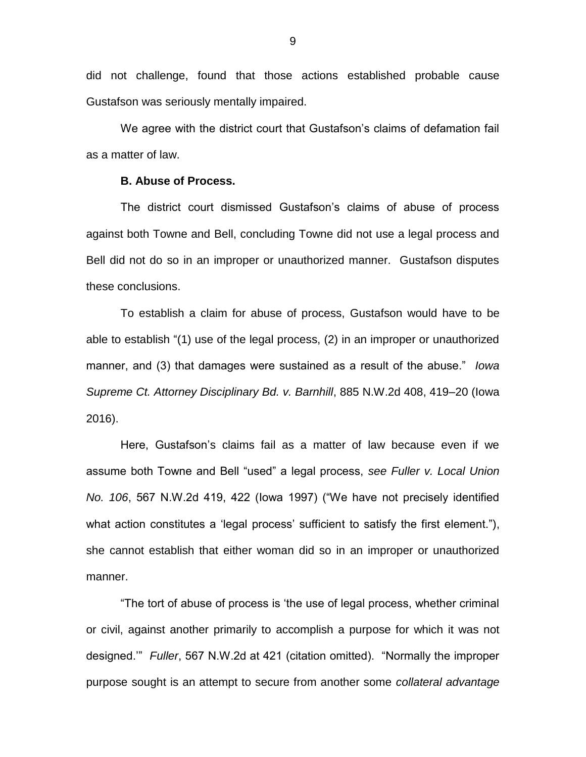did not challenge, found that those actions established probable cause Gustafson was seriously mentally impaired.

We agree with the district court that Gustafson's claims of defamation fail as a matter of law.

#### **B. Abuse of Process.**

The district court dismissed Gustafson's claims of abuse of process against both Towne and Bell, concluding Towne did not use a legal process and Bell did not do so in an improper or unauthorized manner. Gustafson disputes these conclusions.

To establish a claim for abuse of process, Gustafson would have to be able to establish "(1) use of the legal process, (2) in an improper or unauthorized manner, and (3) that damages were sustained as a result of the abuse." *Iowa Supreme Ct. Attorney Disciplinary Bd. v. Barnhill*, 885 N.W.2d 408, 419–20 (Iowa 2016).

Here, Gustafson's claims fail as a matter of law because even if we assume both Towne and Bell "used" a legal process, *see Fuller v. Local Union No. 106*, 567 N.W.2d 419, 422 (Iowa 1997) ("We have not precisely identified what action constitutes a 'legal process' sufficient to satisfy the first element."), she cannot establish that either woman did so in an improper or unauthorized manner.

"The tort of abuse of process is 'the use of legal process, whether criminal or civil, against another primarily to accomplish a purpose for which it was not designed.'" *Fuller*, 567 N.W.2d at 421 (citation omitted). "Normally the improper purpose sought is an attempt to secure from another some *collateral advantage*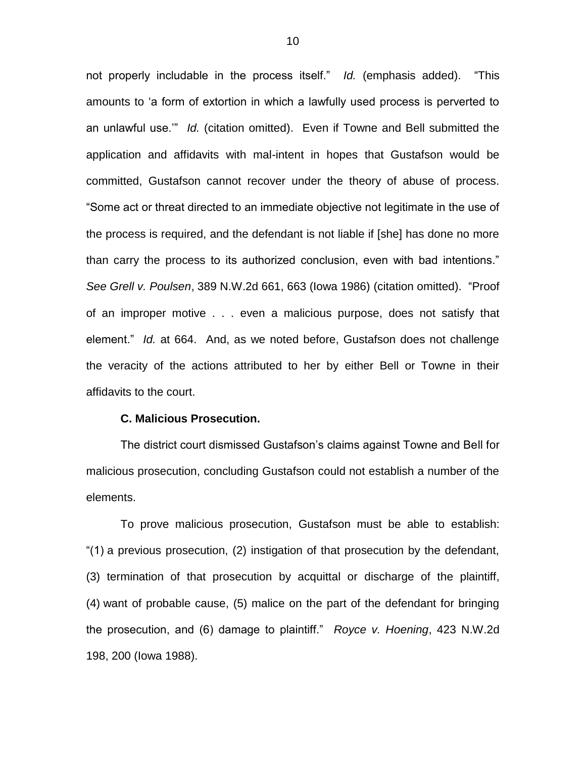not properly includable in the process itself." *Id.* (emphasis added)."This amounts to 'a form of extortion in which a lawfully used process is perverted to an unlawful use.'" *Id.* (citation omitted). Even if Towne and Bell submitted the application and affidavits with mal-intent in hopes that Gustafson would be committed, Gustafson cannot recover under the theory of abuse of process. "Some act or threat directed to an immediate objective not legitimate in the use of the process is required, and the defendant is not liable if [she] has done no more than carry the process to its authorized conclusion, even with bad intentions." *See Grell v. Poulsen*, 389 N.W.2d 661, 663 (Iowa 1986) (citation omitted). "Proof of an improper motive . . . even a malicious purpose, does not satisfy that element." *Id.* at 664. And, as we noted before, Gustafson does not challenge the veracity of the actions attributed to her by either Bell or Towne in their affidavits to the court.

## **C. Malicious Prosecution.**

The district court dismissed Gustafson's claims against Towne and Bell for malicious prosecution, concluding Gustafson could not establish a number of the elements.

To prove malicious prosecution, Gustafson must be able to establish: "(1) a previous prosecution, (2) instigation of that prosecution by the defendant, (3) termination of that prosecution by acquittal or discharge of the plaintiff, (4) want of probable cause, (5) malice on the part of the defendant for bringing the prosecution, and (6) damage to plaintiff." *Royce v. Hoening*, 423 N.W.2d 198, 200 (Iowa 1988).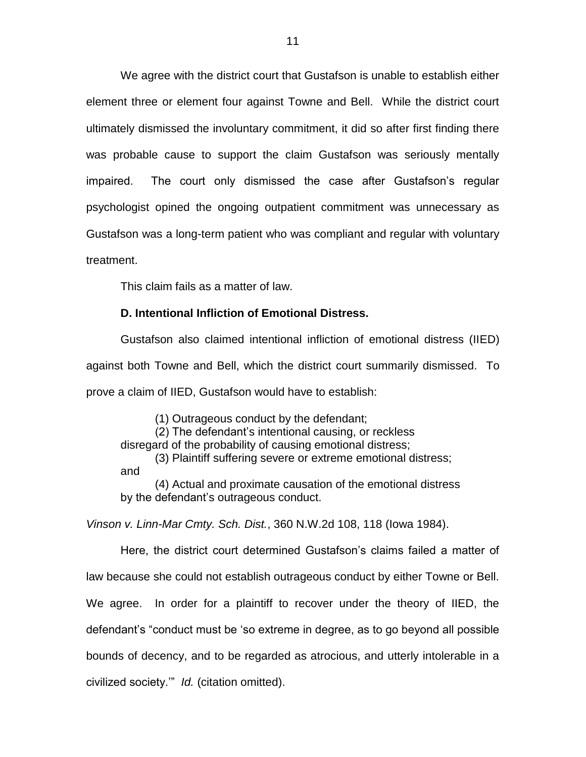We agree with the district court that Gustafson is unable to establish either element three or element four against Towne and Bell. While the district court ultimately dismissed the involuntary commitment, it did so after first finding there was probable cause to support the claim Gustafson was seriously mentally impaired. The court only dismissed the case after Gustafson's regular psychologist opined the ongoing outpatient commitment was unnecessary as Gustafson was a long-term patient who was compliant and regular with voluntary treatment.

This claim fails as a matter of law.

## **D. Intentional Infliction of Emotional Distress.**

Gustafson also claimed intentional infliction of emotional distress (IIED) against both Towne and Bell, which the district court summarily dismissed. To prove a claim of IIED, Gustafson would have to establish:

(1) Outrageous conduct by the defendant;

(2) The defendant's intentional causing, or reckless disregard of the probability of causing emotional distress; (3) Plaintiff suffering severe or extreme emotional distress;

and

(4) Actual and proximate causation of the emotional distress by the defendant's outrageous conduct.

*Vinson v. Linn-Mar Cmty. Sch. Dist.*, 360 N.W.2d 108, 118 (Iowa 1984).

Here, the district court determined Gustafson's claims failed a matter of law because she could not establish outrageous conduct by either Towne or Bell. We agree. In order for a plaintiff to recover under the theory of IIED, the defendant's "conduct must be 'so extreme in degree, as to go beyond all possible bounds of decency, and to be regarded as atrocious, and utterly intolerable in a civilized society.'" *Id.* (citation omitted).